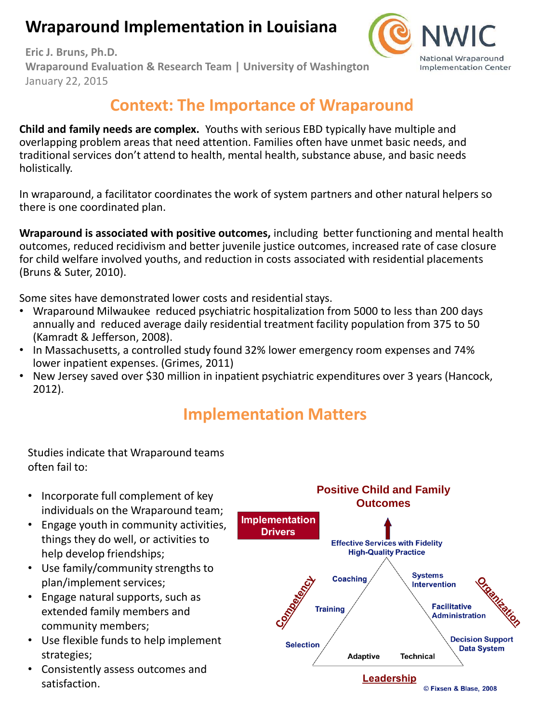# **Wraparound Implementation in Louisiana**



**Eric J. Bruns, Ph.D. Wraparound Evaluation & Research Team | University of Washington** January 22, 2015

# **Context: The Importance of Wraparound**

**Child and family needs are complex.** Youths with serious EBD typically have multiple and overlapping problem areas that need attention. Families often have unmet basic needs, and traditional services don't attend to health, mental health, substance abuse, and basic needs holistically.

In wraparound, a facilitator coordinates the work of system partners and other natural helpers so there is one coordinated plan.

**Wraparound is associated with positive outcomes,** including better functioning and mental health outcomes, reduced recidivism and better juvenile justice outcomes, increased rate of case closure for child welfare involved youths, and reduction in costs associated with residential placements (Bruns & Suter, 2010).

Some sites have demonstrated lower costs and residential stays.

- Wraparound Milwaukee reduced psychiatric hospitalization from 5000 to less than 200 days annually and reduced average daily residential treatment facility population from 375 to 50 (Kamradt & Jefferson, 2008).
- In Massachusetts, a controlled study found 32% lower emergency room expenses and 74% lower inpatient expenses. (Grimes, 2011)
- New Jersey saved over \$30 million in inpatient psychiatric expenditures over 3 years (Hancock, 2012).

# **Implementation Matters**

Studies indicate that Wraparound teams often fail to:

- Incorporate full complement of key individuals on the Wraparound team;
- Engage youth in community activities, things they do well, or activities to help develop friendships;
- Use family/community strengths to plan/implement services;
- Engage natural supports, such as extended family members and community members;
- Use flexible funds to help implement strategies;
- Consistently assess outcomes and satisfaction.

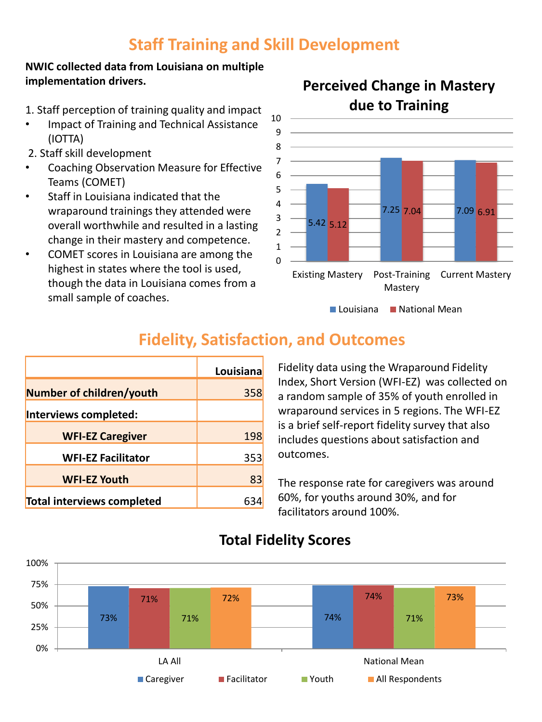# **Staff Training and Skill Development**

#### **NWIC collected data from Louisiana on multiple implementation drivers.**

- 1. Staff perception of training quality and impact
- Impact of Training and Technical Assistance (IOTTA)
- 2. Staff skill development
- Coaching Observation Measure for Effective Teams (COMET)
- Staff in Louisiana indicated that the wraparound trainings they attended were overall worthwhile and resulted in a lasting change in their mastery and competence.
- COMET scores in Louisiana are among the highest in states where the tool is used, though the data in Louisiana comes from a small sample of coaches.



## **Perceived Change in Mastery due to Training**

|                            | Louisiana |
|----------------------------|-----------|
| Number of children/youth   | 358       |
| Interviews completed:      |           |
| <b>WFI-EZ Caregiver</b>    | 198       |
| <b>WFI-EZ Facilitator</b>  | 353       |
| <b>WFI-EZ Youth</b>        | 83        |
| Total interviews completed |           |

Fidelity data using the Wraparound Fidelity Index, Short Version (WFI-EZ) was collected on a random sample of 35% of youth enrolled in wraparound services in 5 regions. The WFI-EZ is a brief self-report fidelity survey that also includes questions about satisfaction and outcomes.

 $\blacksquare$  Louisiana  $\blacksquare$  National Mean

The response rate for caregivers was around 60%, for youths around 30%, and for facilitators around 100%.



### **Total Fidelity Scores**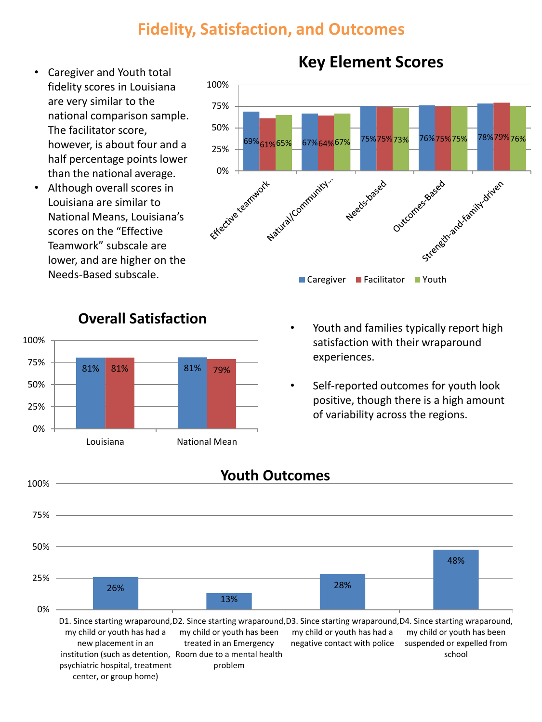## **Fidelity, Satisfaction, and Outcomes**

- Caregiver and Youth total fidelity scores in Louisiana are very similar to the national comparison sample. The facilitator score, however, is about four and a half percentage points lower than the national average.
- Although overall scores in Louisiana are similar to National Means, Louisiana's scores on the "Effective Teamwork" subscale are lower, and are higher on the Needs-Based subscale.



## **Key Element Scores**



## **Overall Satisfaction**

- Youth and families typically report high satisfaction with their wraparound experiences.
- Self-reported outcomes for youth look positive, though there is a high amount of variability across the regions.